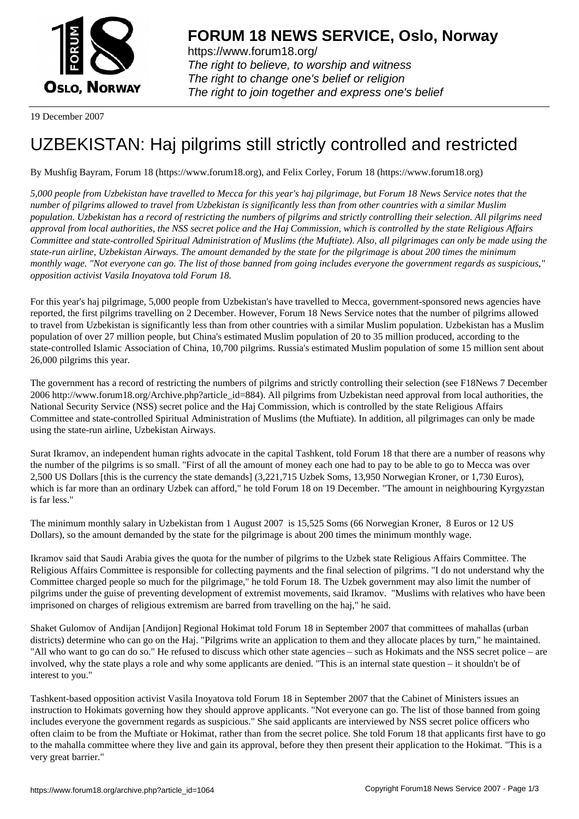

https://www.forum18.org/ The right to believe, to worship and witness The right to change one's belief or religion [The right to join together a](https://www.forum18.org/)nd express one's belief

19 December 2007

## [UZBEKISTAN:](https://www.forum18.org) Haj pilgrims still strictly controlled and restricted

By Mushfig Bayram, Forum 18 (https://www.forum18.org), and Felix Corley, Forum 18 (https://www.forum18.org)

*5,000 people from Uzbekistan have travelled to Mecca for this year's haj pilgrimage, but Forum 18 News Service notes that the number of pilgrims allowed to travel from Uzbekistan is significantly less than from other countries with a similar Muslim population. Uzbekistan has a record of restricting the numbers of pilgrims and strictly controlling their selection. All pilgrims need approval from local authorities, the NSS secret police and the Haj Commission, which is controlled by the state Religious Affairs Committee and state-controlled Spiritual Administration of Muslims (the Muftiate). Also, all pilgrimages can only be made using the state-run airline, Uzbekistan Airways. The amount demanded by the state for the pilgrimage is about 200 times the minimum monthly wage. "Not everyone can go. The list of those banned from going includes everyone the government regards as suspicious," opposition activist Vasila Inoyatova told Forum 18.*

For this year's haj pilgrimage, 5,000 people from Uzbekistan's have travelled to Mecca, government-sponsored news agencies have reported, the first pilgrims travelling on 2 December. However, Forum 18 News Service notes that the number of pilgrims allowed to travel from Uzbekistan is significantly less than from other countries with a similar Muslim population. Uzbekistan has a Muslim population of over 27 million people, but China's estimated Muslim population of 20 to 35 million produced, according to the state-controlled Islamic Association of China, 10,700 pilgrims. Russia's estimated Muslim population of some 15 million sent about 26,000 pilgrims this year.

The government has a record of restricting the numbers of pilgrims and strictly controlling their selection (see F18News 7 December 2006 http://www.forum18.org/Archive.php?article\_id=884). All pilgrims from Uzbekistan need approval from local authorities, the National Security Service (NSS) secret police and the Haj Commission, which is controlled by the state Religious Affairs Committee and state-controlled Spiritual Administration of Muslims (the Muftiate). In addition, all pilgrimages can only be made using the state-run airline, Uzbekistan Airways.

Surat Ikramov, an independent human rights advocate in the capital Tashkent, told Forum 18 that there are a number of reasons why the number of the pilgrims is so small. "First of all the amount of money each one had to pay to be able to go to Mecca was over 2,500 US Dollars [this is the currency the state demands] (3,221,715 Uzbek Soms, 13,950 Norwegian Kroner, or 1,730 Euros), which is far more than an ordinary Uzbek can afford," he told Forum 18 on 19 December. "The amount in neighbouring Kyrgyzstan is far less."

The minimum monthly salary in Uzbekistan from 1 August 2007 is 15,525 Soms (66 Norwegian Kroner, 8 Euros or 12 US Dollars), so the amount demanded by the state for the pilgrimage is about 200 times the minimum monthly wage.

Ikramov said that Saudi Arabia gives the quota for the number of pilgrims to the Uzbek state Religious Affairs Committee. The Religious Affairs Committee is responsible for collecting payments and the final selection of pilgrims. "I do not understand why the Committee charged people so much for the pilgrimage," he told Forum 18. The Uzbek government may also limit the number of pilgrims under the guise of preventing development of extremist movements, said Ikramov. "Muslims with relatives who have been imprisoned on charges of religious extremism are barred from travelling on the haj," he said.

Shaket Gulomov of Andijan [Andijon] Regional Hokimat told Forum 18 in September 2007 that committees of mahallas (urban districts) determine who can go on the Haj. "Pilgrims write an application to them and they allocate places by turn," he maintained. "All who want to go can do so." He refused to discuss which other state agencies – such as Hokimats and the NSS secret police – are involved, why the state plays a role and why some applicants are denied. "This is an internal state question – it shouldn't be of interest to you."

Tashkent-based opposition activist Vasila Inoyatova told Forum 18 in September 2007 that the Cabinet of Ministers issues an instruction to Hokimats governing how they should approve applicants. "Not everyone can go. The list of those banned from going includes everyone the government regards as suspicious." She said applicants are interviewed by NSS secret police officers who often claim to be from the Muftiate or Hokimat, rather than from the secret police. She told Forum 18 that applicants first have to go to the mahalla committee where they live and gain its approval, before they then present their application to the Hokimat. "This is a very great barrier."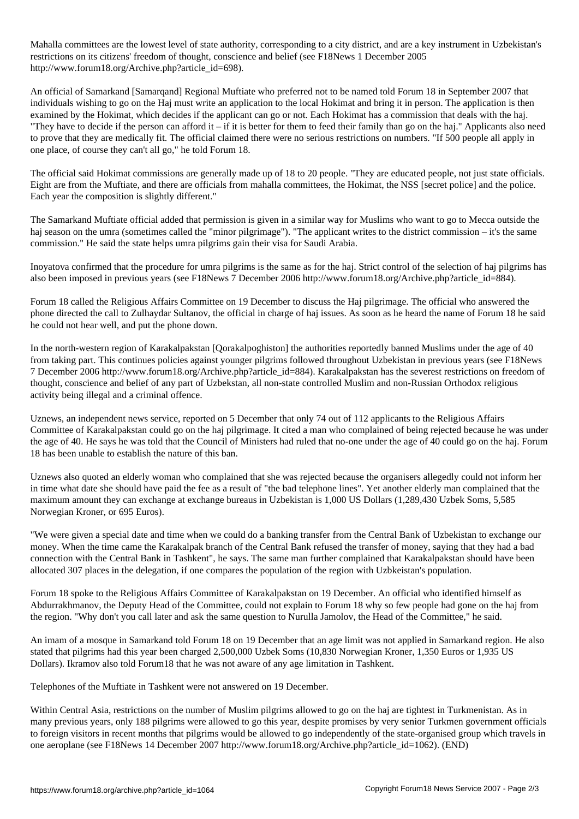Mahalla committees are the lowest level of state authority, corresponding to a city district, and are a key instrument in Uzbekistan's restrictions on its citizens' freedom of thought, conscience and belief (see F18News 1 December 2005 http://www.forum18.org/Archive.php?article\_id=698).

An official of Samarkand [Samarqand] Regional Muftiate who preferred not to be named told Forum 18 in September 2007 that individuals wishing to go on the Haj must write an application to the local Hokimat and bring it in person. The application is then examined by the Hokimat, which decides if the applicant can go or not. Each Hokimat has a commission that deals with the haj. "They have to decide if the person can afford it – if it is better for them to feed their family than go on the haj." Applicants also need to prove that they are medically fit. The official claimed there were no serious restrictions on numbers. "If 500 people all apply in one place, of course they can't all go," he told Forum 18.

The official said Hokimat commissions are generally made up of 18 to 20 people. "They are educated people, not just state officials. Eight are from the Muftiate, and there are officials from mahalla committees, the Hokimat, the NSS [secret police] and the police. Each year the composition is slightly different."

The Samarkand Muftiate official added that permission is given in a similar way for Muslims who want to go to Mecca outside the haj season on the umra (sometimes called the "minor pilgrimage"). "The applicant writes to the district commission – it's the same commission." He said the state helps umra pilgrims gain their visa for Saudi Arabia.

Inoyatova confirmed that the procedure for umra pilgrims is the same as for the haj. Strict control of the selection of haj pilgrims has also been imposed in previous years (see F18News 7 December 2006 http://www.forum18.org/Archive.php?article\_id=884).

Forum 18 called the Religious Affairs Committee on 19 December to discuss the Haj pilgrimage. The official who answered the phone directed the call to Zulhaydar Sultanov, the official in charge of haj issues. As soon as he heard the name of Forum 18 he said he could not hear well, and put the phone down.

In the north-western region of Karakalpakstan [Qorakalpoghiston] the authorities reportedly banned Muslims under the age of 40 from taking part. This continues policies against younger pilgrims followed throughout Uzbekistan in previous years (see F18News 7 December 2006 http://www.forum18.org/Archive.php?article\_id=884). Karakalpakstan has the severest restrictions on freedom of thought, conscience and belief of any part of Uzbekstan, all non-state controlled Muslim and non-Russian Orthodox religious activity being illegal and a criminal offence.

Uznews, an independent news service, reported on 5 December that only 74 out of 112 applicants to the Religious Affairs Committee of Karakalpakstan could go on the haj pilgrimage. It cited a man who complained of being rejected because he was under the age of 40. He says he was told that the Council of Ministers had ruled that no-one under the age of 40 could go on the haj. Forum 18 has been unable to establish the nature of this ban.

Uznews also quoted an elderly woman who complained that she was rejected because the organisers allegedly could not inform her in time what date she should have paid the fee as a result of "the bad telephone lines". Yet another elderly man complained that the maximum amount they can exchange at exchange bureaus in Uzbekistan is 1,000 US Dollars (1,289,430 Uzbek Soms, 5,585 Norwegian Kroner, or 695 Euros).

"We were given a special date and time when we could do a banking transfer from the Central Bank of Uzbekistan to exchange our money. When the time came the Karakalpak branch of the Central Bank refused the transfer of money, saying that they had a bad connection with the Central Bank in Tashkent", he says. The same man further complained that Karakalpakstan should have been allocated 307 places in the delegation, if one compares the population of the region with Uzbkeistan's population.

Forum 18 spoke to the Religious Affairs Committee of Karakalpakstan on 19 December. An official who identified himself as Abdurrakhmanov, the Deputy Head of the Committee, could not explain to Forum 18 why so few people had gone on the haj from the region. "Why don't you call later and ask the same question to Nurulla Jamolov, the Head of the Committee," he said.

An imam of a mosque in Samarkand told Forum 18 on 19 December that an age limit was not applied in Samarkand region. He also stated that pilgrims had this year been charged 2,500,000 Uzbek Soms (10,830 Norwegian Kroner, 1,350 Euros or 1,935 US Dollars). Ikramov also told Forum18 that he was not aware of any age limitation in Tashkent.

Telephones of the Muftiate in Tashkent were not answered on 19 December.

Within Central Asia, restrictions on the number of Muslim pilgrims allowed to go on the haj are tightest in Turkmenistan. As in many previous years, only 188 pilgrims were allowed to go this year, despite promises by very senior Turkmen government officials to foreign visitors in recent months that pilgrims would be allowed to go independently of the state-organised group which travels in one aeroplane (see F18News 14 December 2007 http://www.forum18.org/Archive.php?article\_id=1062). (END)